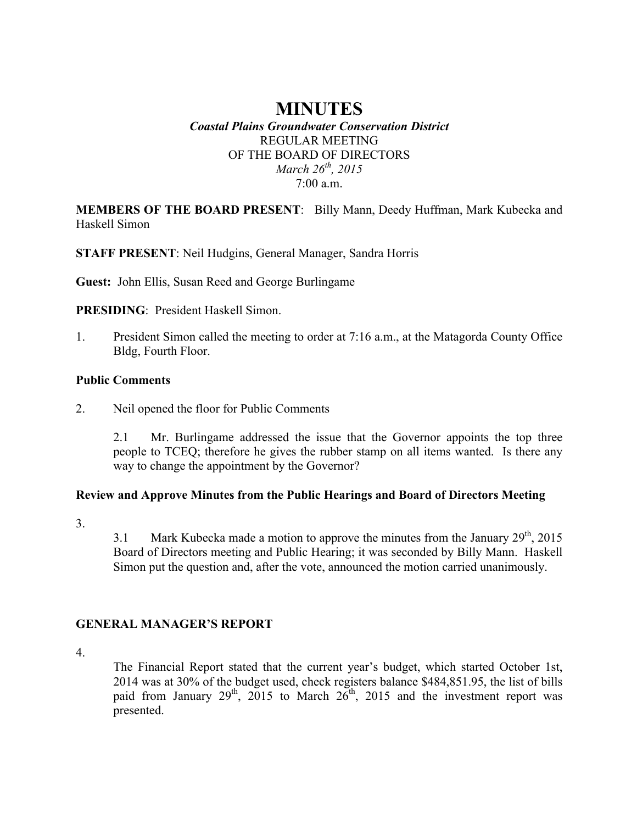## **MINUTES** *Coastal Plains Groundwater Conservation District* REGULAR MEETING OF THE BOARD OF DIRECTORS *March 26th, 2015* 7:00 a.m.

**MEMBERS OF THE BOARD PRESENT**: Billy Mann, Deedy Huffman, Mark Kubecka and Haskell Simon

**STAFF PRESENT**: Neil Hudgins, General Manager, Sandra Horris

**Guest:** John Ellis, Susan Reed and George Burlingame

**PRESIDING**: President Haskell Simon.

1. President Simon called the meeting to order at 7:16 a.m., at the Matagorda County Office Bldg, Fourth Floor.

#### **Public Comments**

2. Neil opened the floor for Public Comments

2.1 Mr. Burlingame addressed the issue that the Governor appoints the top three people to TCEQ; therefore he gives the rubber stamp on all items wanted. Is there any way to change the appointment by the Governor?

#### **Review and Approve Minutes from the Public Hearings and Board of Directors Meeting**

3.

3.1 Mark Kubecka made a motion to approve the minutes from the January  $29<sup>th</sup>$ , 2015 Board of Directors meeting and Public Hearing; it was seconded by Billy Mann. Haskell Simon put the question and, after the vote, announced the motion carried unanimously.

## **GENERAL MANAGER'S REPORT**

4.

The Financial Report stated that the current year's budget, which started October 1st, 2014 was at 30% of the budget used, check registers balance \$484,851.95, the list of bills paid from January  $29<sup>th</sup>$ ,  $2015$  to March  $26<sup>th</sup>$ ,  $2015$  and the investment report was presented.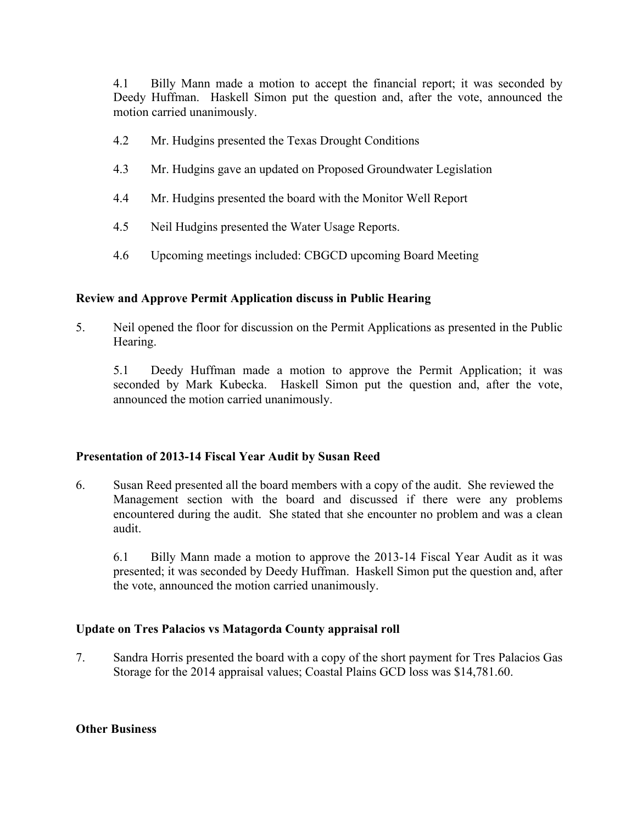4.1 Billy Mann made a motion to accept the financial report; it was seconded by Deedy Huffman. Haskell Simon put the question and, after the vote, announced the motion carried unanimously.

- 4.2 Mr. Hudgins presented the Texas Drought Conditions
- 4.3 Mr. Hudgins gave an updated on Proposed Groundwater Legislation
- 4.4 Mr. Hudgins presented the board with the Monitor Well Report
- 4.5 Neil Hudgins presented the Water Usage Reports.
- 4.6 Upcoming meetings included: CBGCD upcoming Board Meeting

### **Review and Approve Permit Application discuss in Public Hearing**

5. Neil opened the floor for discussion on the Permit Applications as presented in the Public Hearing.

5.1 Deedy Huffman made a motion to approve the Permit Application; it was seconded by Mark Kubecka. Haskell Simon put the question and, after the vote, announced the motion carried unanimously.

#### **Presentation of 2013-14 Fiscal Year Audit by Susan Reed**

6. Susan Reed presented all the board members with a copy of the audit. She reviewed the Management section with the board and discussed if there were any problems encountered during the audit. She stated that she encounter no problem and was a clean audit.

6.1 Billy Mann made a motion to approve the 2013-14 Fiscal Year Audit as it was presented; it was seconded by Deedy Huffman. Haskell Simon put the question and, after the vote, announced the motion carried unanimously.

## **Update on Tres Palacios vs Matagorda County appraisal roll**

7. Sandra Horris presented the board with a copy of the short payment for Tres Palacios Gas Storage for the 2014 appraisal values; Coastal Plains GCD loss was \$14,781.60.

#### **Other Business**